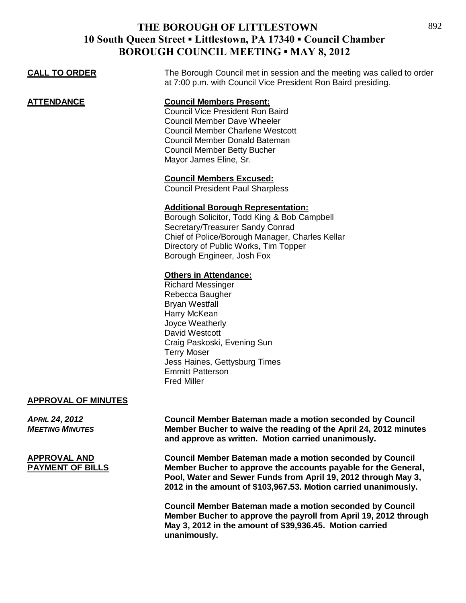| <b>CALL TO ORDER</b> | The Borough Council met in session and the meeting was called to order<br>at 7:00 p.m. with Council Vice President Ron Baird presiding.                                                                                                                |
|----------------------|--------------------------------------------------------------------------------------------------------------------------------------------------------------------------------------------------------------------------------------------------------|
| ATTENDANCE           | <b>Council Members Present:</b><br><b>Council Vice President Ron Baird</b><br>Council Member Dave Wheeler<br><b>Council Member Charlene Westcott</b><br>Council Member Donald Bateman<br><b>Council Member Betty Bucher</b><br>Mayor James Eline, Sr.  |
|                      | <b>Council Members Excused:</b><br><b>Council President Paul Sharpless</b>                                                                                                                                                                             |
|                      | <b>Additional Borough Representation:</b><br>Borough Solicitor, Todd King & Bob Campbell<br>Secretary/Treasurer Sandy Conrad<br>Chief of Police/Borough Manager, Charles Kellar<br>Directory of Public Works, Tim Topper<br>Borough Engineer, Josh Fox |
|                      | <b>Others in Attendance:</b><br><b>Richard Messinger</b><br>Rebecca Baugher<br><b>Bryan Westfall</b><br>Harry McKean<br>Joyce Weatherly<br>David Westcott<br>Craig Paskoski, Evening Sun                                                               |

Terry Moser Jess Haines, Gettysburg Times Emmitt Patterson Fred Miller

#### **APPROVAL OF MINUTES**

*APRIL 24, 2012* **Council Member Bateman made a motion seconded by Council** *MEETING MINUTES* **Member Bucher to waive the reading of the April 24, 2012 minutes and approve as written. Motion carried unanimously.**

**APPROVAL AND Council Member Bateman made a motion seconded by Council Member Bucher to approve the accounts payable for the General, Pool, Water and Sewer Funds from April 19, 2012 through May 3, 2012 in the amount of \$103,967.53. Motion carried unanimously.** 

> **Council Member Bateman made a motion seconded by Council Member Bucher to approve the payroll from April 19, 2012 through May 3, 2012 in the amount of \$39,936.45. Motion carried unanimously.**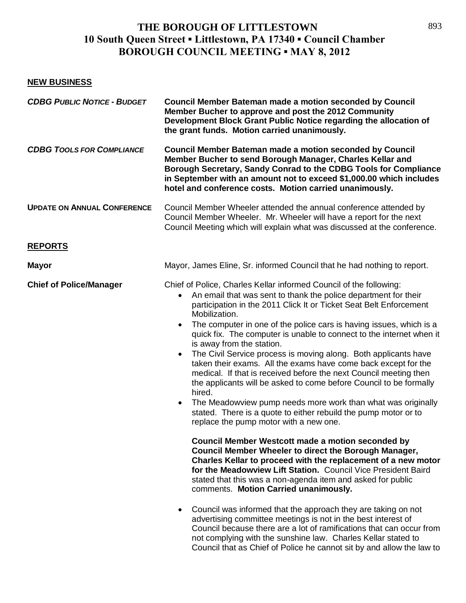### **NEW BUSINESS**

| <b>CDBG PUBLIC NOTICE - BUDGET</b> | <b>Council Member Bateman made a motion seconded by Council</b><br>Member Bucher to approve and post the 2012 Community<br>Development Block Grant Public Notice regarding the allocation of<br>the grant funds. Motion carried unanimously.                                                                                                                                                                                                                                                                                                                                                                                                                                                                                                                                                                                                                                                                           |
|------------------------------------|------------------------------------------------------------------------------------------------------------------------------------------------------------------------------------------------------------------------------------------------------------------------------------------------------------------------------------------------------------------------------------------------------------------------------------------------------------------------------------------------------------------------------------------------------------------------------------------------------------------------------------------------------------------------------------------------------------------------------------------------------------------------------------------------------------------------------------------------------------------------------------------------------------------------|
| <b>CDBG TOOLS FOR COMPLIANCE</b>   | <b>Council Member Bateman made a motion seconded by Council</b><br>Member Bucher to send Borough Manager, Charles Kellar and<br>Borough Secretary, Sandy Conrad to the CDBG Tools for Compliance<br>in September with an amount not to exceed \$1,000.00 which includes<br>hotel and conference costs. Motion carried unanimously.                                                                                                                                                                                                                                                                                                                                                                                                                                                                                                                                                                                     |
| <b>UPDATE ON ANNUAL CONFERENCE</b> | Council Member Wheeler attended the annual conference attended by<br>Council Member Wheeler. Mr. Wheeler will have a report for the next<br>Council Meeting which will explain what was discussed at the conference.                                                                                                                                                                                                                                                                                                                                                                                                                                                                                                                                                                                                                                                                                                   |
| <b>REPORTS</b>                     |                                                                                                                                                                                                                                                                                                                                                                                                                                                                                                                                                                                                                                                                                                                                                                                                                                                                                                                        |
| <b>Mayor</b>                       | Mayor, James Eline, Sr. informed Council that he had nothing to report.                                                                                                                                                                                                                                                                                                                                                                                                                                                                                                                                                                                                                                                                                                                                                                                                                                                |
| <b>Chief of Police/Manager</b>     | Chief of Police, Charles Kellar informed Council of the following:<br>An email that was sent to thank the police department for their<br>participation in the 2011 Click It or Ticket Seat Belt Enforcement<br>Mobilization.<br>The computer in one of the police cars is having issues, which is a<br>$\bullet$<br>quick fix. The computer is unable to connect to the internet when it<br>is away from the station.<br>The Civil Service process is moving along. Both applicants have<br>$\bullet$<br>taken their exams. All the exams have come back except for the<br>medical. If that is received before the next Council meeting then<br>the applicants will be asked to come before Council to be formally<br>hired.<br>The Meadowview pump needs more work than what was originally<br>$\bullet$<br>stated. There is a quote to either rebuild the pump motor or to<br>replace the pump motor with a new one. |
|                                    | <b>Council Member Westcott made a motion seconded by</b><br>Council Member Wheeler to direct the Borough Manager,<br>Charles Kellar to proceed with the replacement of a new motor<br>for the Meadowview Lift Station. Council Vice President Baird<br>stated that this was a non-agenda item and asked for public<br>comments. Motion Carried unanimously.                                                                                                                                                                                                                                                                                                                                                                                                                                                                                                                                                            |
|                                    | Council was informed that the approach they are taking on not<br>$\bullet$<br>advertising committee meetings is not in the best interest of<br>Council because there are a lot of ramifications that can occur from<br>not complying with the sunshine law. Charles Kellar stated to<br>Council that as Chief of Police he cannot sit by and allow the law to                                                                                                                                                                                                                                                                                                                                                                                                                                                                                                                                                          |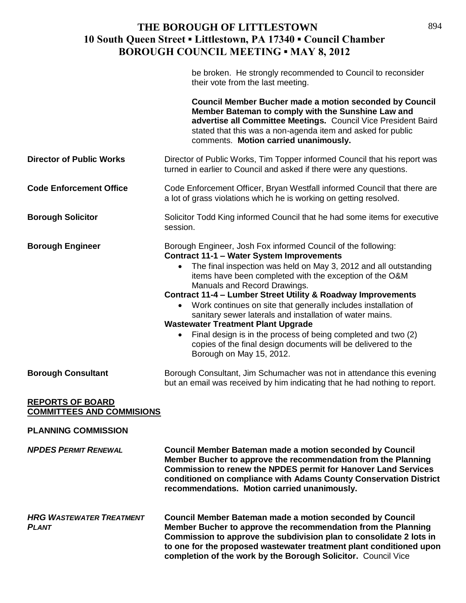|                                                             | be broken. He strongly recommended to Council to reconsider<br>their vote from the last meeting.                                                                                                                                                                                                                                                                                                                                                                                                                                                                                                                                                                                          |
|-------------------------------------------------------------|-------------------------------------------------------------------------------------------------------------------------------------------------------------------------------------------------------------------------------------------------------------------------------------------------------------------------------------------------------------------------------------------------------------------------------------------------------------------------------------------------------------------------------------------------------------------------------------------------------------------------------------------------------------------------------------------|
|                                                             | <b>Council Member Bucher made a motion seconded by Council</b><br>Member Bateman to comply with the Sunshine Law and<br>advertise all Committee Meetings. Council Vice President Baird<br>stated that this was a non-agenda item and asked for public<br>comments. Motion carried unanimously.                                                                                                                                                                                                                                                                                                                                                                                            |
| <b>Director of Public Works</b>                             | Director of Public Works, Tim Topper informed Council that his report was<br>turned in earlier to Council and asked if there were any questions.                                                                                                                                                                                                                                                                                                                                                                                                                                                                                                                                          |
| <b>Code Enforcement Office</b>                              | Code Enforcement Officer, Bryan Westfall informed Council that there are<br>a lot of grass violations which he is working on getting resolved.                                                                                                                                                                                                                                                                                                                                                                                                                                                                                                                                            |
| <b>Borough Solicitor</b>                                    | Solicitor Todd King informed Council that he had some items for executive<br>session.                                                                                                                                                                                                                                                                                                                                                                                                                                                                                                                                                                                                     |
| <b>Borough Engineer</b>                                     | Borough Engineer, Josh Fox informed Council of the following:<br><b>Contract 11-1 - Water System Improvements</b><br>The final inspection was held on May 3, 2012 and all outstanding<br>items have been completed with the exception of the O&M<br>Manuals and Record Drawings.<br>Contract 11-4 - Lumber Street Utility & Roadway Improvements<br>Work continues on site that generally includes installation of<br>sanitary sewer laterals and installation of water mains.<br><b>Wastewater Treatment Plant Upgrade</b><br>Final design is in the process of being completed and two (2)<br>copies of the final design documents will be delivered to the<br>Borough on May 15, 2012. |
| <b>Borough Consultant</b>                                   | Borough Consultant, Jim Schumacher was not in attendance this evening<br>but an email was received by him indicating that he had nothing to report.                                                                                                                                                                                                                                                                                                                                                                                                                                                                                                                                       |
| <b>REPORTS OF BOARD</b><br><b>COMMITTEES AND COMMISIONS</b> |                                                                                                                                                                                                                                                                                                                                                                                                                                                                                                                                                                                                                                                                                           |
| <b>PLANNING COMMISSION</b>                                  |                                                                                                                                                                                                                                                                                                                                                                                                                                                                                                                                                                                                                                                                                           |
| <b>NPDES PERMIT RENEWAL</b>                                 | <b>Council Member Bateman made a motion seconded by Council</b><br>Member Bucher to approve the recommendation from the Planning<br><b>Commission to renew the NPDES permit for Hanover Land Services</b><br>conditioned on compliance with Adams County Conservation District<br>recommendations. Motion carried unanimously.                                                                                                                                                                                                                                                                                                                                                            |
| <b>HRG WASTEWATER TREATMENT</b><br><b>PLANT</b>             | <b>Council Member Bateman made a motion seconded by Council</b><br>Member Bucher to approve the recommendation from the Planning<br>Commission to approve the subdivision plan to consolidate 2 lots in<br>to one for the proposed wastewater treatment plant conditioned upon<br>completion of the work by the Borough Solicitor. Council Vice                                                                                                                                                                                                                                                                                                                                           |